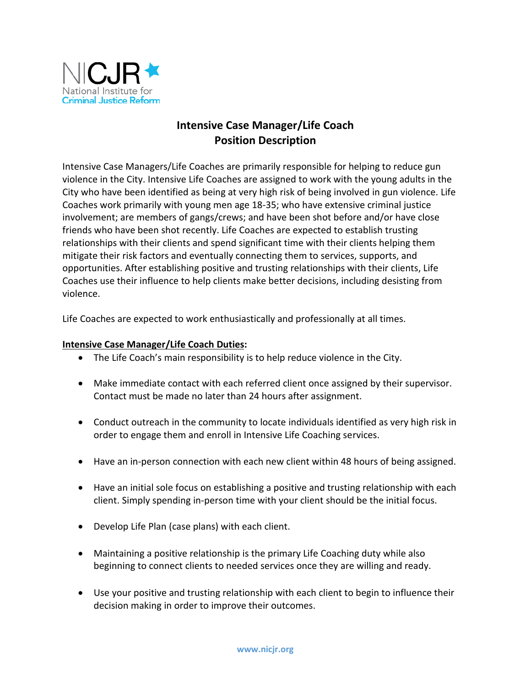

## **Intensive Case Manager/Life Coach Position Description**

Intensive Case Managers/Life Coaches are primarily responsible for helping to reduce gun violence in the City. Intensive Life Coaches are assigned to work with the young adults in the City who have been identified as being at very high risk of being involved in gun violence. Life Coaches work primarily with young men age 18-35; who have extensive criminal justice involvement; are members of gangs/crews; and have been shot before and/or have close friends who have been shot recently. Life Coaches are expected to establish trusting relationships with their clients and spend significant time with their clients helping them mitigate their risk factors and eventually connecting them to services, supports, and opportunities. After establishing positive and trusting relationships with their clients, Life Coaches use their influence to help clients make better decisions, including desisting from violence.

Life Coaches are expected to work enthusiastically and professionally at all times.

## **Intensive Case Manager/Life Coach Duties:**

- The Life Coach's main responsibility is to help reduce violence in the City.
- Make immediate contact with each referred client once assigned by their supervisor. Contact must be made no later than 24 hours after assignment.
- Conduct outreach in the community to locate individuals identified as very high risk in order to engage them and enroll in Intensive Life Coaching services.
- Have an in-person connection with each new client within 48 hours of being assigned.
- Have an initial sole focus on establishing a positive and trusting relationship with each client. Simply spending in-person time with your client should be the initial focus.
- Develop Life Plan (case plans) with each client.
- Maintaining a positive relationship is the primary Life Coaching duty while also beginning to connect clients to needed services once they are willing and ready.
- Use your positive and trusting relationship with each client to begin to influence their decision making in order to improve their outcomes.